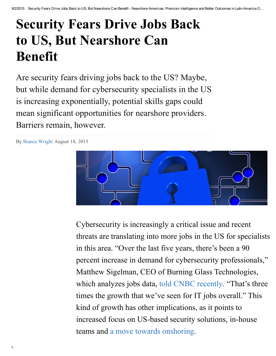# Security Fears Drive Jobs Back to US, But Nearshore Can Benefit

Are security fears driving jobs back to the US? Maybe, but while demand for cybersecurity specialists in the US is increasing exponentially, potential skills gaps could mean significant opportunities for nearshore providers. Barriers remain, however.

By Bianca [Wright](http://www.nearshoreamericas.com/author/bianca/) August 18, 2015



Cybersecurity is increasingly a critical issue and recent threats are translating into more jobs in the US for specialists in this area. "Over the last five years, there's been a 90 percent increase in demand for cybersecurity professionals, " Matthew Sigelman, CEO of Burning Glass Technologies, which analyzes jobs data, told CNBC [recently.](http://www.cnbc.com/2015/08/06/growing-cyberthreat-means-more-jobs-in-us.html) "That's three times the growth that we've seen for IT jobs overall." This kind of growth has other implications, as it points to increased focus on US-based security solutions, in-house teams and a move towards [onshoring.](http://www.nearshoreamericas.com/latin-americas-complex-data-protection-laws-causing-firms-reshore-work/)

 $\mathbf{C}$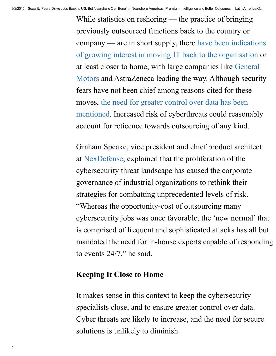While statistics on reshoring — the practice of bringing previously outsourced functions back to the country or company — are in short supply, there have been indications of growing interest in moving IT back to the [organisation](http://ww2.cfo.com/operations/2015/05/u-s-firms-eyeing-benefits-onshoring/) or at least closer to home, with large companies like General Motors and [AstraZeneca](http://www.nearshoreamericas.com/caused-gm-shift-offshoring-onshoring/) leading the way. Although security fears have not been chief among reasons cited for these moves, the need for greater control over data has been mentioned. Increased risk of [cyberthreats](http://ww2.cfo.com/operations/2015/05/u-s-firms-eyeing-benefits-onshoring/) could reasonably account for reticence towards outsourcing of any kind.

Graham Speake, vice president and chief product architect at [NexDefense,](http://www.nexdefense.com/) explained that the proliferation of the cybersecurity threat landscape has caused the corporate governance of industrial organizations to rethink their strategies for combatting unprecedented levels of risk. "Whereas the opportunity-cost of outsourcing many cybersecurity jobs was once favorable, the 'new normal' that is comprised of frequent and sophisticated attacks has all but mandated the need for in-house experts capable of responding to events 24/7, " he said.

### Keeping It Close to Home

 $\mathbf{C}$ 

It makes sense in this context to keep the cybersecurity specialists close, and to ensure greater control over data. Cyber threats are likely to increase, and the need for secure solutions is unlikely to diminish.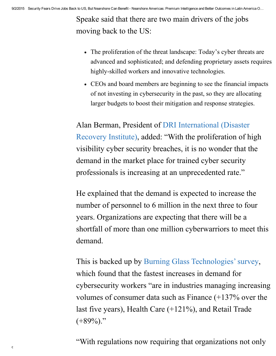Speake said that there are two main drivers of the jobs moving back to the US:

- The proliferation of the threat landscape: Today's cyber threats are advanced and sophisticated; and defending proprietary assets requires highly-skilled workers and innovative technologies.
- CEOs and board members are beginning to see the financial impacts of not investing in cybersecurity in the past, so they are allocating larger budgets to boost their mitigation and response strategies.

Alan Berman, President of DRI [International](https://www.linkedin.com/company/dri-international) (Disaster Recovery Institute), added: "With the proliferation of high visibility cyber security breaches, it is no wonder that the demand in the market place for trained cyber security professionals is increasing at an unprecedented rate."

He explained that the demand is expected to increase the number of personnel to 6 million in the next three to four years. Organizations are expecting that there will be a shortfall of more than one million cyberwarriors to meet this demand.

This is backed up by Burning Glass Technologies' survey, which found that the fastest increases in demand for cybersecurity workers "are in industries managing increasing volumes of consumer data such as Finance (+137% over the last five years), Health Care (+121%), and Retail Trade  $(+89\%)$ ."

 $\epsilon$ "With regulations now requiring that organizations not only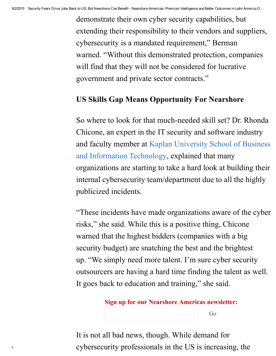demonstrate their own cyber security capabilities, but extending their responsibility to their vendors and suppliers, cybersecurity is a mandated requirement, " Berman warned. "Without this demonstrated protection, companies will find that they will not be considered for lucrative government and private sector contracts."

## US Skills Gap Means Opportunity For Nearshore

So where to look for that much-needed skill set? Dr. Rhonda Chicone, an expert in the IT security and software industry and faculty member at Kaplan University School of Business and Information [Technology,](http://www.kaplanuniversity.edu/business.aspx) explained that many organizations are starting to take a hard look at building their internal cybersecurity team/department due to all the highly publicized incidents.

"These incidents have made organizations aware of the cyber risks, " she said. While this is a positive thing, Chicone warned that the highest bidders (companies with a big security budget) are snatching the best and the brightest up. "We simply need more talent. I'm sure cyber security outsourcers are having a hard time finding the talent as well. It goes back to education and training, " she said.

#### Sign up for our Nearshore Americas newsletter:

Go

 $\epsilon$  cybersecurity professionals in the US is increasing, the It is not all bad news, though. While demand for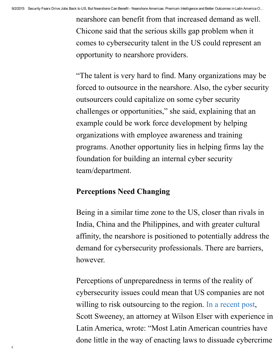nearshore can benefit from that increased demand as well. Chicone said that the serious skills gap problem when it comes to cybersecurity talent in the US could represent an opportunity to nearshore providers.

"The talent is very hard to find. Many organizations may be forced to outsource in the nearshore. Also, the cyber security outsourcers could capitalize on some cyber security challenges or opportunities, " she said, explaining that an example could be work force development by helping organizations with employee awareness and training programs. Another opportunity lies in helping firms lay the foundation for building an internal cyber security team/department.

## Perceptions Need Changing

Being in a similar time zone to the US, closer than rivals in India, China and the Philippines, and with greater cultural affinity, the nearshore is positioned to potentially address the demand for cybersecurity professionals. There are barriers, however.

Perceptions of unpreparedness in terms of the reality of cybersecurity issues could mean that US companies are not willing to risk outsourcing to the region. In a [recent](http://www.wilsonelser.com/news_and_insights/client_alerts/2185-boom_or_bust_cyber_security_and_data_breach_loss_in) post, Scott Sweeney, an attorney at Wilson Elser with experience in Latin America, wrote: "Most Latin American countries have done little in the way of enacting laws to dissuade cybercrime

 $\mathbf{C}$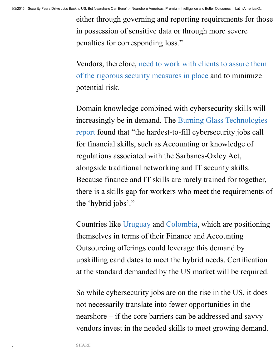either through governing and reporting requirements for those in possession of sensitive data or through more severe penalties for corresponding loss."

Vendors, [therefore,](http://www.nearshoreamericas.com/nearshore-vendors-allay-client-security-fears/) need to work with clients to assure them of the rigorous security measures in place and to minimize potential risk.

Domain knowledge combined with cybersecurity skills will increasingly be in demand. The Burning Glass Technologies report found that "the hardest-to-fill cybersecurity jobs call for financial skills, such as Accounting or knowledge of regulations associated with the Sarbanes-Oxley Act, alongside traditional networking and IT security skills. Because finance and IT skills are rarely trained for together, there is a skills gap for workers who meet the requirements of the 'hybrid jobs'."

Countries like [Uruguay](http://www.nearshoreamericas.com/city-profile-montevideo-finance-accounting-outsourcing-niche/) and [Colombia,](http://www.nearshoreamericas.com/medellins-free-bpo-training-tackles-fao-bilingualism-ecogold-mining/) which are positioning themselves in terms of their Finance and Accounting Outsourcing offerings could leverage this demand by upskilling candidates to meet the hybrid needs. Certification at the standard demanded by the US market will be required.

So while cybersecurity jobs are on the rise in the US, it does not necessarily translate into fewer opportunities in the nearshore – if the core barriers can be addressed and savvy vendors invest in the needed skills to meet growing demand.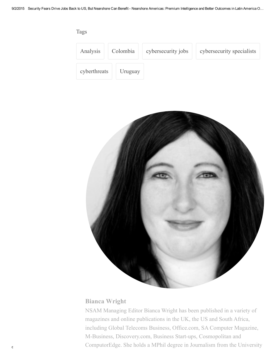

#### Bianca [Wright](http://www.nearshoreamericas.com/author/bianca/)

computorEdge. She holds a MPhil degree in Journalism from the University NSAM Managing Editor Bianca Wright has been published in a variety of magazines and online publications in the UK, the US and South Africa, including Global Telecoms Business, Office.com, SA Computer Magazine, M-Business, Discovery.com, Business Start-ups, Cosmopolitan and